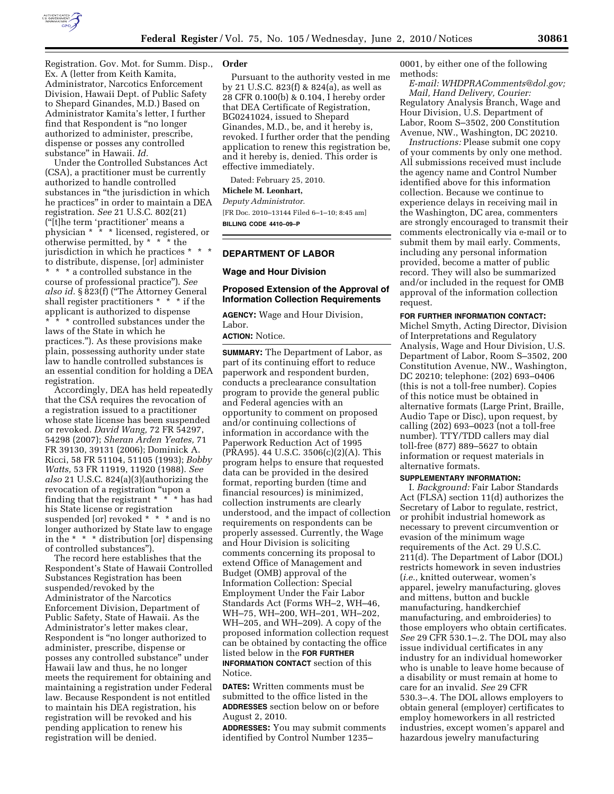

Registration. Gov. Mot. for Summ. Disp., Ex. A (letter from Keith Kamita, Administrator, Narcotics Enforcement Division, Hawaii Dept. of Public Safety to Shepard Ginandes, M.D.) Based on Administrator Kamita's letter, I further find that Respondent is ''no longer authorized to administer, prescribe, dispense or posses any controlled substance'' in Hawaii. *Id.* 

Under the Controlled Substances Act (CSA), a practitioner must be currently authorized to handle controlled substances in "the jurisdiction in which he practices'' in order to maintain a DEA registration. *See* 21 U.S.C. 802(21) (''[t]he term 'practitioner' means a physician \* \* \* licensed, registered, or otherwise permitted, by  $*$   $*$   $*$   $*$  the jurisdiction in which he practices \* to distribute, dispense, [or] administer \* \* \* a controlled substance in the course of professional practice''). *See also id.* § 823(f) (''The Attorney General shall register practitioners  $* * * if$  the applicant is authorized to dispense \* \* \* controlled substances under the laws of the State in which he practices.''). As these provisions make plain, possessing authority under state law to handle controlled substances is an essential condition for holding a DEA registration.

Accordingly, DEA has held repeatedly that the CSA requires the revocation of a registration issued to a practitioner whose state license has been suspended or revoked. *David Wang,* 72 FR 54297, 54298 (2007); *Sheran Arden Yeates,* 71 FR 39130, 39131 (2006); Dominick A. Ricci, 58 FR 51104, 51105 (1993); *Bobby Watts,* 53 FR 11919, 11920 (1988). *See also* 21 U.S.C. 824(a)(3)(authorizing the revocation of a registration ''upon a finding that the registrant \* \* \* has had his State license or registration suspended [or] revoked \* \* \* and is no longer authorized by State law to engage in the \* \* \* distribution [or] dispensing of controlled substances'').

The record here establishes that the Respondent's State of Hawaii Controlled Substances Registration has been suspended/revoked by the Administrator of the Narcotics Enforcement Division, Department of Public Safety, State of Hawaii. As the Administrator's letter makes clear, Respondent is ''no longer authorized to administer, prescribe, dispense or posses any controlled substance'' under Hawaii law and thus, he no longer meets the requirement for obtaining and maintaining a registration under Federal law. Because Respondent is not entitled to maintain his DEA registration, his registration will be revoked and his pending application to renew his registration will be denied.

#### **Order**

Pursuant to the authority vested in me by 21 U.S.C. 823(f) & 824(a), as well as 28 CFR 0.100(b) & 0.104, I hereby order that DEA Certificate of Registration, BG0241024, issued to Shepard Ginandes, M.D., be, and it hereby is, revoked. I further order that the pending application to renew this registration be, and it hereby is, denied. This order is effective immediately.

Dated: February 25, 2010.

# **Michele M. Leonhart,**

*Deputy Administrator.*  [FR Doc. 2010–13144 Filed 6–1–10; 8:45 am] **BILLING CODE 4410–09–P** 

#### **DEPARTMENT OF LABOR**

#### **Wage and Hour Division**

#### **Proposed Extension of the Approval of Information Collection Requirements**

**AGENCY:** Wage and Hour Division, Labor.

**ACTION:** Notice.

**SUMMARY:** The Department of Labor, as part of its continuing effort to reduce paperwork and respondent burden, conducts a preclearance consultation program to provide the general public and Federal agencies with an opportunity to comment on proposed and/or continuing collections of information in accordance with the Paperwork Reduction Act of 1995 (PRA95). 44 U.S.C. 3506(c)(2)(A). This program helps to ensure that requested data can be provided in the desired format, reporting burden (time and financial resources) is minimized, collection instruments are clearly understood, and the impact of collection requirements on respondents can be properly assessed. Currently, the Wage and Hour Division is soliciting comments concerning its proposal to extend Office of Management and Budget (OMB) approval of the Information Collection: Special Employment Under the Fair Labor Standards Act (Forms WH–2, WH–46, WH–75, WH–200, WH–201, WH–202, WH–205, and WH–209). A copy of the proposed information collection request can be obtained by contacting the office listed below in the **FOR FURTHER INFORMATION CONTACT** section of this Notice.

**DATES:** Written comments must be submitted to the office listed in the **ADDRESSES** section below on or before August 2, 2010.

**ADDRESSES:** You may submit comments identified by Control Number 1235–

0001, by either one of the following methods:

*E-mail: WHDPRAComments@dol.gov; Mail, Hand Delivery, Courier:*  Regulatory Analysis Branch, Wage and Hour Division, U.S. Department of Labor, Room S–3502, 200 Constitution Avenue, NW., Washington, DC 20210.

*Instructions:* Please submit one copy of your comments by only one method. All submissions received must include the agency name and Control Number identified above for this information collection. Because we continue to experience delays in receiving mail in the Washington, DC area, commenters are strongly encouraged to transmit their comments electronically via e-mail or to submit them by mail early. Comments, including any personal information provided, become a matter of public record. They will also be summarized and/or included in the request for OMB approval of the information collection request.

#### **FOR FURTHER INFORMATION CONTACT:**

Michel Smyth, Acting Director, Division of Interpretations and Regulatory Analysis, Wage and Hour Division, U.S. Department of Labor, Room S–3502, 200 Constitution Avenue, NW., Washington, DC 20210; telephone: (202) 693–0406 (this is not a toll-free number). Copies of this notice must be obtained in alternative formats (Large Print, Braille, Audio Tape or Disc), upon request, by calling (202) 693–0023 (not a toll-free number). TTY/TDD callers may dial toll-free (877) 889–5627 to obtain information or request materials in alternative formats.

## **SUPPLEMENTARY INFORMATION:**

I. *Background:* Fair Labor Standards Act (FLSA) section 11(d) authorizes the Secretary of Labor to regulate, restrict, or prohibit industrial homework as necessary to prevent circumvention or evasion of the minimum wage requirements of the Act. 29 U.S.C. 211(d). The Department of Labor (DOL) restricts homework in seven industries (*i.e.,* knitted outerwear, women's apparel, jewelry manufacturing, gloves and mittens, button and buckle manufacturing, handkerchief manufacturing, and embroideries) to those employers who obtain certificates. *See* 29 CFR 530.1–.2. The DOL may also issue individual certificates in any industry for an individual homeworker who is unable to leave home because of a disability or must remain at home to care for an invalid. *See* 29 CFR 530.3–.4. The DOL allows employers to obtain general (employer) certificates to employ homeworkers in all restricted industries, except women's apparel and hazardous jewelry manufacturing